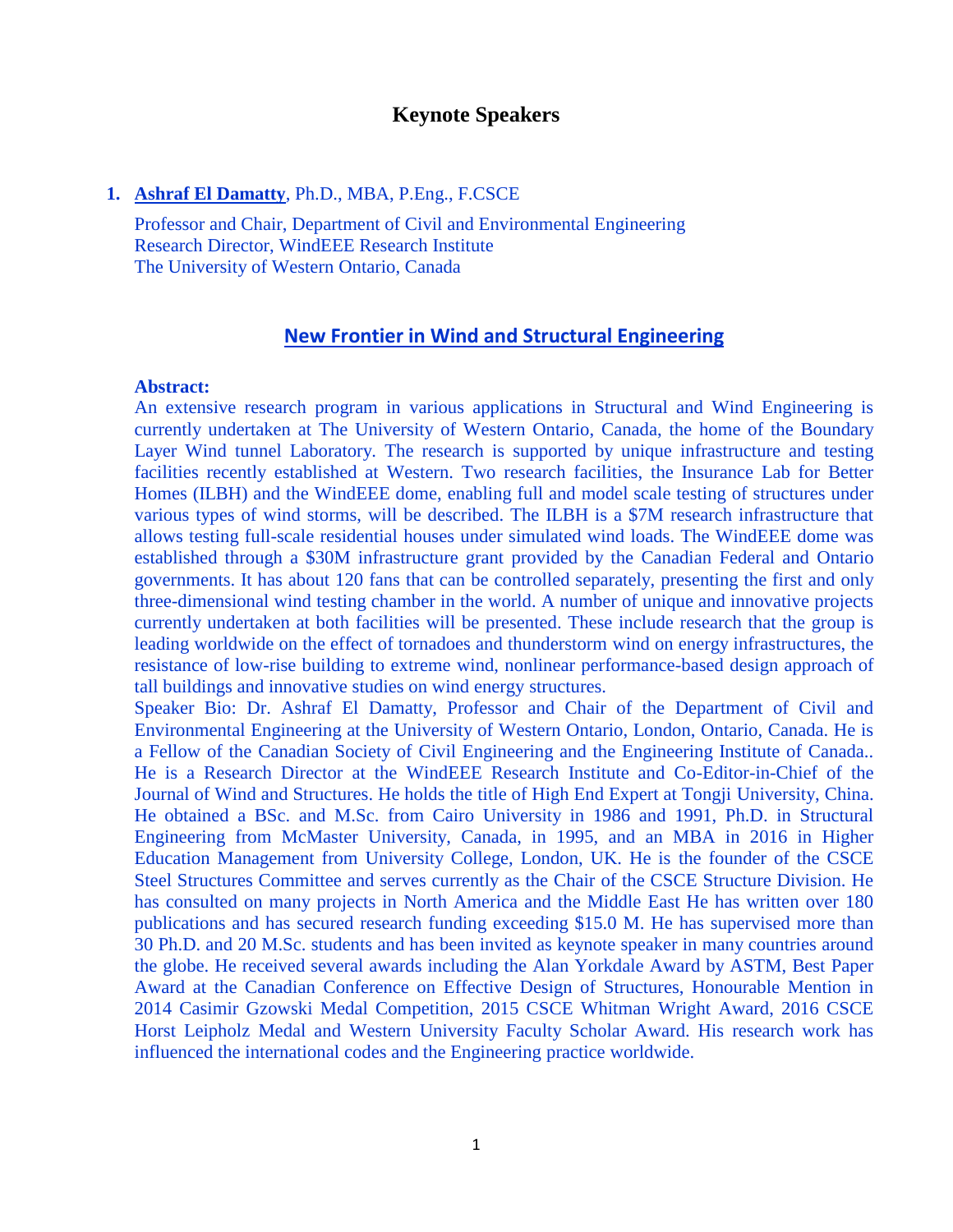# **Keynote Speakers**

#### **1. Ashraf El Damatty**, Ph.D., MBA, P.Eng., F.CSCE

Professor and Chair, Department of Civil and Environmental Engineering Research Director, WindEEE Research Institute The University of Western Ontario, Canada

## **New Frontier in Wind and Structural Engineering**

#### **Abstract:**

An extensive research program in various applications in Structural and Wind Engineering is currently undertaken at The University of Western Ontario, Canada, the home of the Boundary Layer Wind tunnel Laboratory. The research is supported by unique infrastructure and testing facilities recently established at Western. Two research facilities, the Insurance Lab for Better Homes (ILBH) and the WindEEE dome, enabling full and model scale testing of structures under various types of wind storms, will be described. The ILBH is a \$7M research infrastructure that allows testing full-scale residential houses under simulated wind loads. The WindEEE dome was established through a \$30M infrastructure grant provided by the Canadian Federal and Ontario governments. It has about 120 fans that can be controlled separately, presenting the first and only three-dimensional wind testing chamber in the world. A number of unique and innovative projects currently undertaken at both facilities will be presented. These include research that the group is leading worldwide on the effect of tornadoes and thunderstorm wind on energy infrastructures, the resistance of low-rise building to extreme wind, nonlinear performance-based design approach of tall buildings and innovative studies on wind energy structures.

Speaker Bio: Dr. Ashraf El Damatty, Professor and Chair of the Department of Civil and Environmental Engineering at the University of Western Ontario, London, Ontario, Canada. He is a Fellow of the Canadian Society of Civil Engineering and the Engineering Institute of Canada.. He is a Research Director at the WindEEE Research Institute and Co-Editor-in-Chief of the Journal of Wind and Structures. He holds the title of High End Expert at Tongji University, China. He obtained a BSc. and M.Sc. from Cairo University in 1986 and 1991, Ph.D. in Structural Engineering from McMaster University, Canada, in 1995, and an MBA in 2016 in Higher Education Management from University College, London, UK. He is the founder of the CSCE Steel Structures Committee and serves currently as the Chair of the CSCE Structure Division. He has consulted on many projects in North America and the Middle East He has written over 180 publications and has secured research funding exceeding \$15.0 M. He has supervised more than 30 Ph.D. and 20 M.Sc. students and has been invited as keynote speaker in many countries around the globe. He received several awards including the Alan Yorkdale Award by ASTM, Best Paper Award at the Canadian Conference on Effective Design of Structures, Honourable Mention in 2014 Casimir Gzowski Medal Competition, 2015 CSCE Whitman Wright Award, 2016 CSCE Horst Leipholz Medal and Western University Faculty Scholar Award. His research work has influenced the international codes and the Engineering practice worldwide.